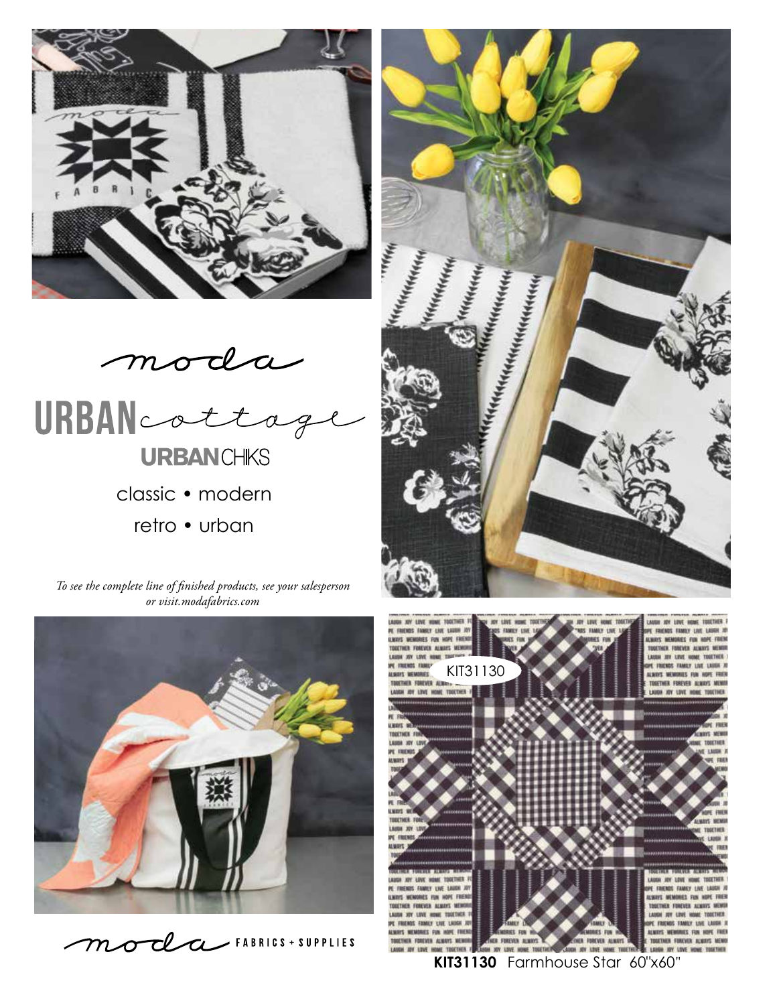



*To see the complete line of finished products, see your salesperson or visit.modafabrics.com*









**KIT31130** Farmhouse Star 60"x60"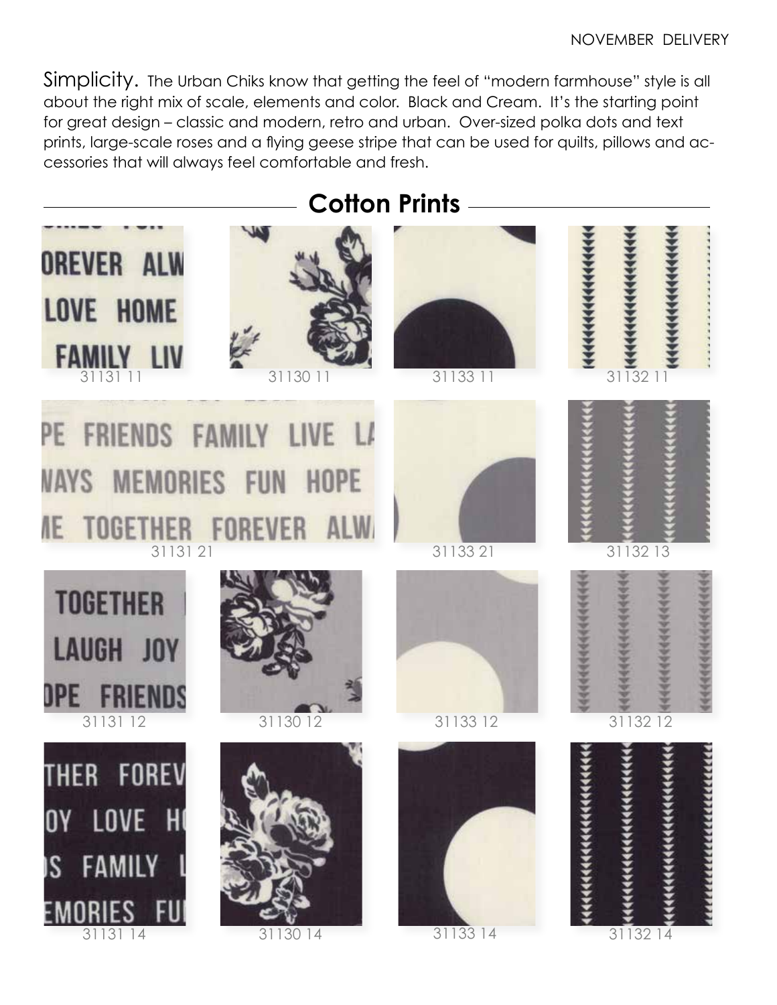Simplicity. The Urban Chiks know that getting the feel of "modern farmhouse" style is all about the right mix of scale, elements and color. Black and Cream. It's the starting point for great design – classic and modern, retro and urban. Over-sized polka dots and text prints, large-scale roses and a flying geese stripe that can be used for quilts, pillows and accessories that will always feel comfortable and fresh.

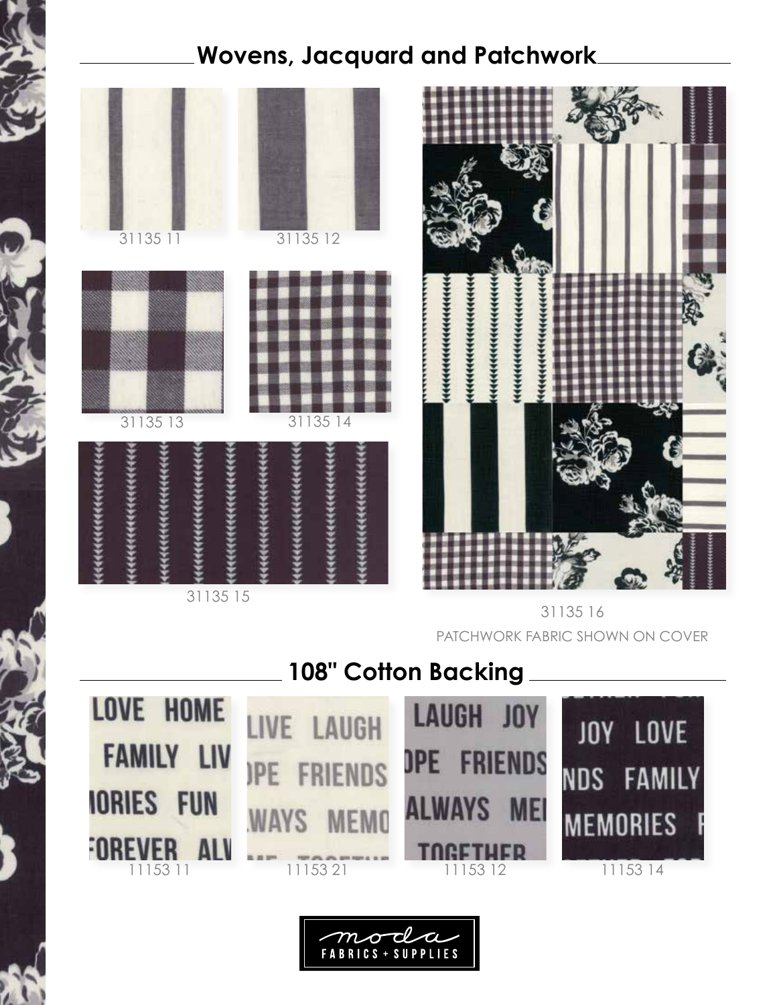## **Wovens, Jacquard and Patchwork**



31135 16 PATCHWORK FABRIC SHOWN ON COVER

**108" Cotton Backing**